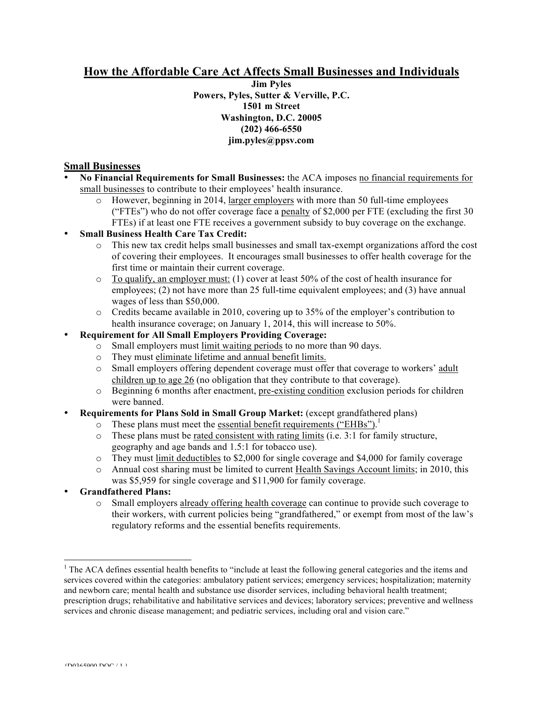# **How the Affordable Care Act Affects Small Businesses and Individuals**

**Jim Pyles Powers, Pyles, Sutter & Verville, P.C. 1501 m Street Washington, D.C. 20005 (202) 466-6550 jim.pyles@ppsv.com**

## **Small Businesses**

- **No Financial Requirements for Small Businesses:** the ACA imposes no financial requirements for small businesses to contribute to their employees' health insurance.
	- o However, beginning in 2014, larger employers with more than 50 full-time employees ("FTEs") who do not offer coverage face a penalty of \$2,000 per FTE (excluding the first 30 FTEs) if at least one FTE receives a government subsidy to buy coverage on the exchange.

### • **Small Business Health Care Tax Credit:**

- o This new tax credit helps small businesses and small tax-exempt organizations afford the cost of covering their employees. It encourages small businesses to offer health coverage for the first time or maintain their current coverage.
- $\circ$  To qualify, an employer must: (1) cover at least 50% of the cost of health insurance for employees; (2) not have more than 25 full-time equivalent employees; and (3) have annual wages of less than \$50,000.
- o Credits became available in 2010, covering up to 35% of the employer's contribution to health insurance coverage; on January 1, 2014, this will increase to 50%.

### • **Requirement for All Small Employers Providing Coverage:**

- o Small employers must limit waiting periods to no more than 90 days.
- o They must eliminate lifetime and annual benefit limits.
- o Small employers offering dependent coverage must offer that coverage to workers' adult children up to age 26 (no obligation that they contribute to that coverage).
- o Beginning 6 months after enactment, pre-existing condition exclusion periods for children were banned.
- **Requirements for Plans Sold in Small Group Market:** (except grandfathered plans)
	- o These plans must meet the essential benefit requirements ("EHBs").<sup>1</sup>
	- $\circ$  These plans must be rated consistent with rating limits (i.e. 3:1 for family structure, geography and age bands and 1.5:1 for tobacco use).
	- o They must limit deductibles to \$2,000 for single coverage and \$4,000 for family coverage
	- o Annual cost sharing must be limited to current Health Savings Account limits; in 2010, this was \$5,959 for single coverage and \$11,900 for family coverage.
- **Grandfathered Plans:**
	- o Small employers already offering health coverage can continue to provide such coverage to their workers, with current policies being "grandfathered," or exempt from most of the law's regulatory reforms and the essential benefits requirements.

 $\frac{1}{1}$ <sup>1</sup> The ACA defines essential health benefits to "include at least the following general categories and the items and services covered within the categories: ambulatory patient services; emergency services; hospitalization; maternity and newborn care; mental health and substance use disorder services, including behavioral health treatment; prescription drugs; rehabilitative and habilitative services and devices; laboratory services; preventive and wellness services and chronic disease management; and pediatric services, including oral and vision care."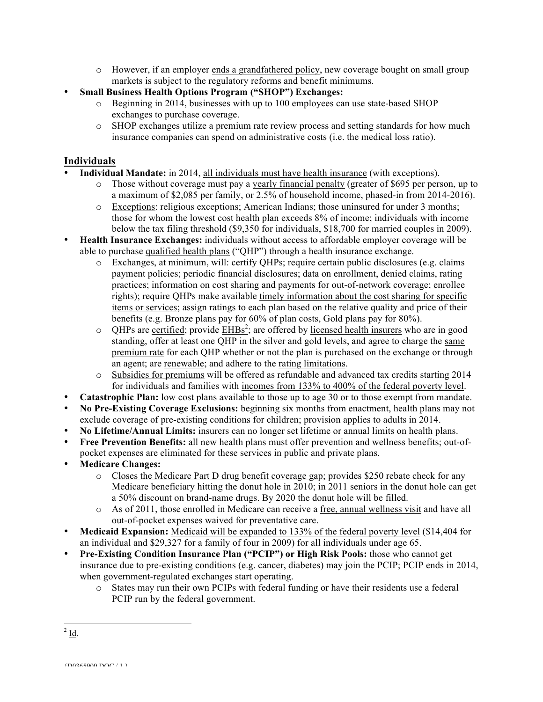- o However, if an employer ends a grandfathered policy, new coverage bought on small group markets is subject to the regulatory reforms and benefit minimums.
- **Small Business Health Options Program ("SHOP") Exchanges:**
	- o Beginning in 2014, businesses with up to 100 employees can use state-based SHOP exchanges to purchase coverage.
	- o SHOP exchanges utilize a premium rate review process and setting standards for how much insurance companies can spend on administrative costs (i.e. the medical loss ratio).

#### **Individuals**

- **Individual Mandate:** in 2014, all individuals must have health insurance (with exceptions).
	- o Those without coverage must pay a yearly financial penalty (greater of \$695 per person, up to a maximum of \$2,085 per family, or 2.5% of household income, phased-in from 2014-2016).
	- o Exceptions: religious exceptions; American Indians; those uninsured for under 3 months; those for whom the lowest cost health plan exceeds 8% of income; individuals with income below the tax filing threshold (\$9,350 for individuals, \$18,700 for married couples in 2009).
- **Health Insurance Exchanges:** individuals without access to affordable employer coverage will be able to purchase qualified health plans ("QHP") through a health insurance exchange.
	- o Exchanges, at minimum, will: certify QHPs; require certain public disclosures (e.g. claims payment policies; periodic financial disclosures; data on enrollment, denied claims, rating practices; information on cost sharing and payments for out-of-network coverage; enrollee rights); require QHPs make available timely information about the cost sharing for specific items or services; assign ratings to each plan based on the relative quality and price of their benefits (e.g. Bronze plans pay for 60% of plan costs, Gold plans pay for 80%).
	- $\circ$  QHPs are certified; provide  $\overline{\text{EHBs}}$ ; are offered by licensed health insurers who are in good standing, offer at least one QHP in the silver and gold levels, and agree to charge the same premium rate for each QHP whether or not the plan is purchased on the exchange or through an agent; are renewable; and adhere to the rating limitations.
	- o Subsidies for premiums will be offered as refundable and advanced tax credits starting 2014 for individuals and families with incomes from 133% to 400% of the federal poverty level.
- **Catastrophic Plan:** low cost plans available to those up to age 30 or to those exempt from mandate.
- **No Pre-Existing Coverage Exclusions:** beginning six months from enactment, health plans may not exclude coverage of pre-existing conditions for children; provision applies to adults in 2014.
- **No Lifetime/Annual Limits:** insurers can no longer set lifetime or annual limits on health plans.
- **Free Prevention Benefits:** all new health plans must offer prevention and wellness benefits; out-ofpocket expenses are eliminated for these services in public and private plans.
- **Medicare Changes:**
	- o Closes the Medicare Part D drug benefit coverage gap; provides \$250 rebate check for any Medicare beneficiary hitting the donut hole in 2010; in 2011 seniors in the donut hole can get a 50% discount on brand-name drugs. By 2020 the donut hole will be filled.
	- o As of 2011, those enrolled in Medicare can receive a free, annual wellness visit and have all out-of-pocket expenses waived for preventative care.
- **Medicaid Expansion:** Medicaid will be expanded to 133% of the federal poverty level (\$14,404 for an individual and \$29,327 for a family of four in 2009) for all individuals under age 65.
- **Pre-Existing Condition Insurance Plan ("PCIP") or High Risk Pools:** those who cannot get insurance due to pre-existing conditions (e.g. cancer, diabetes) may join the PCIP; PCIP ends in 2014, when government-regulated exchanges start operating.
	- o States may run their own PCIPs with federal funding or have their residents use a federal PCIP run by the federal government.

 $2$  Id.